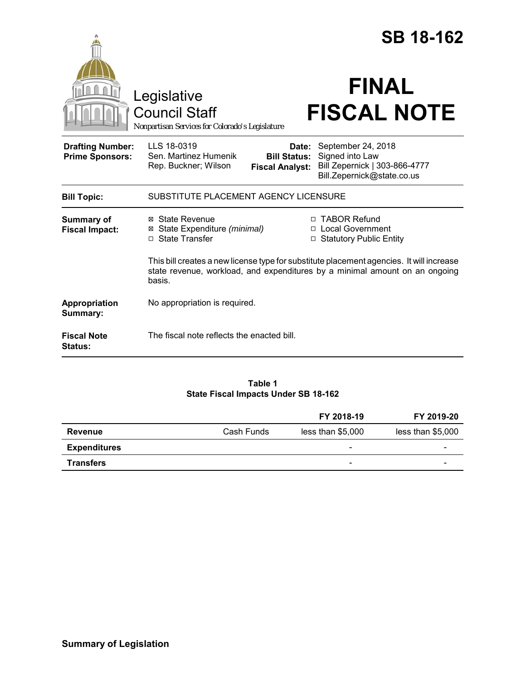|                                                   |                                                                                                                                                                                   |                                                        | <b>SB 18-162</b>                                                                                     |  |
|---------------------------------------------------|-----------------------------------------------------------------------------------------------------------------------------------------------------------------------------------|--------------------------------------------------------|------------------------------------------------------------------------------------------------------|--|
|                                                   | Legislative<br><b>Council Staff</b><br>Nonpartisan Services for Colorado's Legislature                                                                                            |                                                        | <b>FINAL</b><br><b>FISCAL NOTE</b>                                                                   |  |
| <b>Drafting Number:</b><br><b>Prime Sponsors:</b> | LLS 18-0319<br>Sen. Martinez Humenik<br>Rep. Buckner; Wilson                                                                                                                      | Date:<br><b>Bill Status:</b><br><b>Fiscal Analyst:</b> | September 24, 2018<br>Signed into Law<br>Bill Zepernick   303-866-4777<br>Bill.Zepernick@state.co.us |  |
| <b>Bill Topic:</b>                                | SUBSTITUTE PLACEMENT AGENCY LICENSURE                                                                                                                                             |                                                        |                                                                                                      |  |
| <b>Summary of</b><br><b>Fiscal Impact:</b>        | ⊠ State Revenue<br>⊠ State Expenditure (minimal)<br>□ State Transfer                                                                                                              | $\Box$                                                 | □ TABOR Refund<br>□ Local Government<br><b>Statutory Public Entity</b>                               |  |
|                                                   | This bill creates a new license type for substitute placement agencies. It will increase<br>state revenue, workload, and expenditures by a minimal amount on an ongoing<br>basis. |                                                        |                                                                                                      |  |
| Appropriation<br>Summary:                         | No appropriation is required.                                                                                                                                                     |                                                        |                                                                                                      |  |
| <b>Fiscal Note</b><br><b>Status:</b>              | The fiscal note reflects the enacted bill.                                                                                                                                        |                                                        |                                                                                                      |  |

## **Table 1 State Fiscal Impacts Under SB 18-162**

|                     |            | FY 2018-19               | FY 2019-20        |
|---------------------|------------|--------------------------|-------------------|
| <b>Revenue</b>      | Cash Funds | less than \$5,000        | less than \$5,000 |
| <b>Expenditures</b> |            | -                        | -                 |
| <b>Transfers</b>    |            | $\overline{\phantom{0}}$ |                   |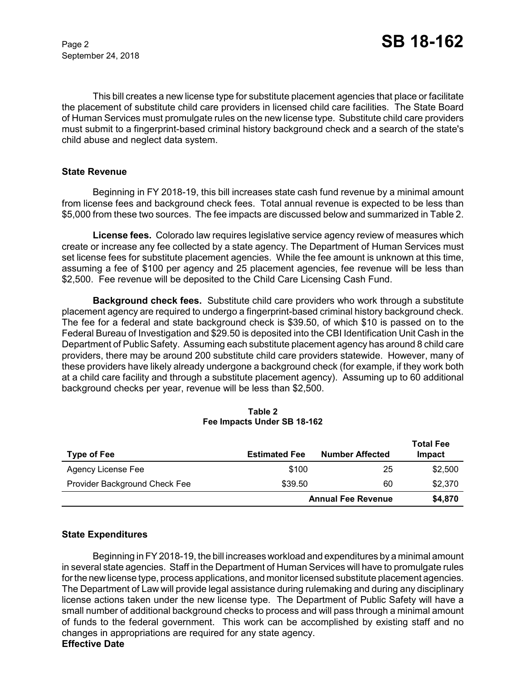September 24, 2018

This bill creates a new license type for substitute placement agencies that place or facilitate the placement of substitute child care providers in licensed child care facilities. The State Board of Human Services must promulgate rules on the new license type. Substitute child care providers must submit to a fingerprint-based criminal history background check and a search of the state's child abuse and neglect data system.

#### **State Revenue**

Beginning in FY 2018-19, this bill increases state cash fund revenue by a minimal amount from license fees and background check fees. Total annual revenue is expected to be less than \$5,000 from these two sources. The fee impacts are discussed below and summarized in Table 2.

**License fees.** Colorado law requires legislative service agency review of measures which create or increase any fee collected by a state agency. The Department of Human Services must set license fees for substitute placement agencies. While the fee amount is unknown at this time, assuming a fee of \$100 per agency and 25 placement agencies, fee revenue will be less than \$2,500. Fee revenue will be deposited to the Child Care Licensing Cash Fund.

**Background check fees.** Substitute child care providers who work through a substitute placement agency are required to undergo a fingerprint-based criminal history background check. The fee for a federal and state background check is \$39.50, of which \$10 is passed on to the Federal Bureau of Investigation and \$29.50 is deposited into the CBI Identification Unit Cash in the Department of Public Safety. Assuming each substitute placement agency has around 8 child care providers, there may be around 200 substitute child care providers statewide. However, many of these providers have likely already undergone a background check (for example, if they work both at a child care facility and through a substitute placement agency). Assuming up to 60 additional background checks per year, revenue will be less than \$2,500.

| <b>Type of Fee</b>            | <b>Estimated Fee</b>      | <b>Number Affected</b> | <b>Total Fee</b><br>Impact |
|-------------------------------|---------------------------|------------------------|----------------------------|
| Agency License Fee            | \$100                     | 25                     | \$2,500                    |
| Provider Background Check Fee | \$39.50                   | 60                     | \$2,370                    |
|                               | <b>Annual Fee Revenue</b> |                        | \$4,870                    |

#### **Table 2 Fee Impacts Under SB 18-162**

## **State Expenditures**

Beginning in FY 2018-19, the bill increases workload and expenditures by a minimal amount in several state agencies. Staff in the Department of Human Services will have to promulgate rules for the new license type, process applications, and monitor licensed substitute placement agencies. The Department of Law will provide legal assistance during rulemaking and during any disciplinary license actions taken under the new license type. The Department of Public Safety will have a small number of additional background checks to process and will pass through a minimal amount of funds to the federal government. This work can be accomplished by existing staff and no changes in appropriations are required for any state agency.

# **Effective Date**